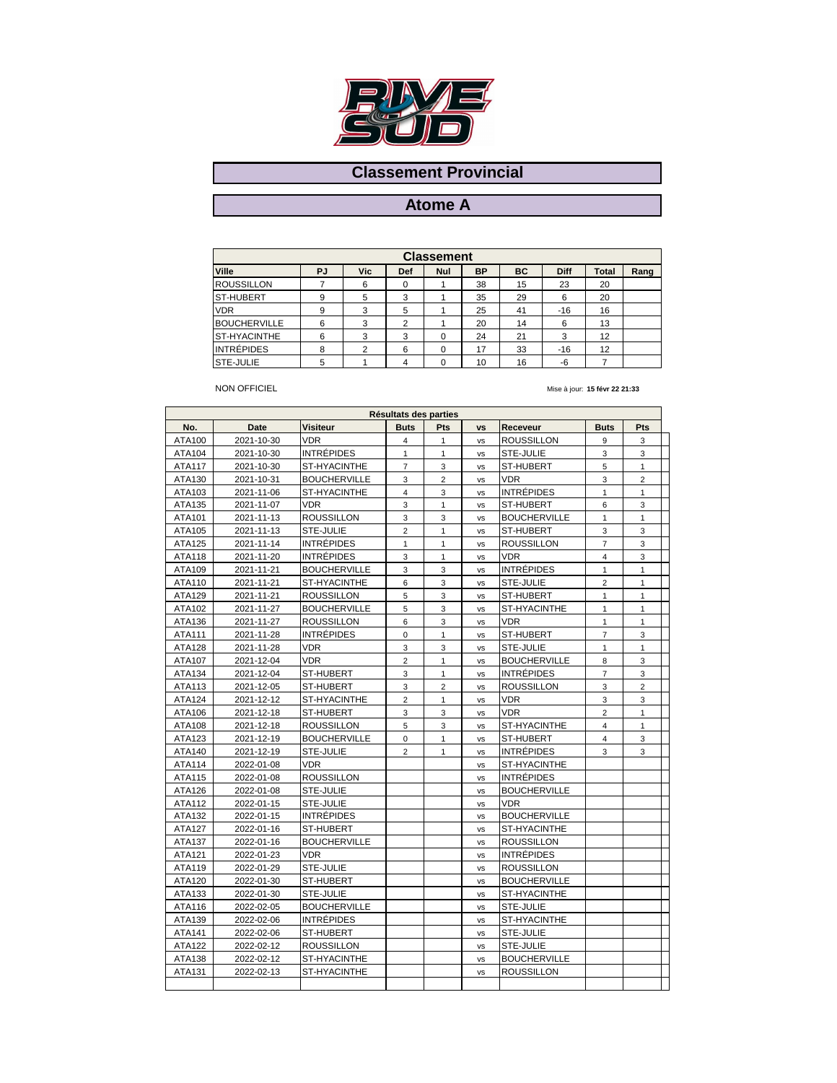

### **Atome A**

| <b>Classement</b>   |    |            |                |            |    |    |             |       |      |  |  |  |
|---------------------|----|------------|----------------|------------|----|----|-------------|-------|------|--|--|--|
| Ville               | PJ | <b>Vic</b> | <b>Def</b>     | <b>Nul</b> | ВP | BC | <b>Diff</b> | Total | Rang |  |  |  |
| <b>ROUSSILLON</b>   |    | 6          | 0              |            | 38 | 15 | 23          | 20    |      |  |  |  |
| <b>ST-HUBERT</b>    | 9  | 5          | 3              |            | 35 | 29 | 6           | 20    |      |  |  |  |
| <b>VDR</b>          | 9  | 3          | 5              |            | 25 | 41 | $-16$       | 16    |      |  |  |  |
| <b>BOUCHERVILLE</b> | 6  | 3          | $\overline{2}$ |            | 20 | 14 | 6           | 13    |      |  |  |  |
| <b>ST-HYACINTHE</b> | 6  | 3          | 3              |            | 24 | 21 | 3           | 12    |      |  |  |  |
| <b>INTRÉPIDES</b>   | 8  | 2          | 6              |            | 17 | 33 | $-16$       | 12    |      |  |  |  |
| <b>STE-JULIE</b>    | 5  |            |                |            | 10 | 16 | -6          |       |      |  |  |  |

#### NON OFFICIEL

|               |            |                     | Résultats des parties |                |           |                     |                |                |  |
|---------------|------------|---------------------|-----------------------|----------------|-----------|---------------------|----------------|----------------|--|
| No.           | Date       | <b>Visiteur</b>     | <b>Buts</b>           | Pts            | <b>VS</b> | Receveur            | <b>Buts</b>    | Pts            |  |
| ATA100        | 2021-10-30 | <b>VDR</b>          | $\overline{4}$        | $\mathbf{1}$   | <b>VS</b> | <b>ROUSSILLON</b>   | 9              | 3              |  |
| ATA104        | 2021-10-30 | <b>INTRÉPIDES</b>   | $\mathbf{1}$          | $\mathbf{1}$   | vs        | STE-JULIE           | 3              | 3              |  |
| ATA117        | 2021-10-30 | ST-HYACINTHE        | $\overline{7}$        | 3              | vs        | ST-HUBERT           | 5              | $\mathbf{1}$   |  |
| ATA130        | 2021-10-31 | <b>BOUCHERVILLE</b> | 3                     | $\overline{2}$ | <b>VS</b> | <b>VDR</b>          | 3              | $\overline{2}$ |  |
| ATA103        | 2021-11-06 | ST-HYACINTHE        | $\overline{4}$        | 3              | vs        | <b>INTRÉPIDES</b>   | $\mathbf{1}$   | $\mathbf{1}$   |  |
| ATA135        | 2021-11-07 | <b>VDR</b>          | 3                     | $\mathbf{1}$   | vs        | ST-HUBERT           | 6              | 3              |  |
| ATA101        | 2021-11-13 | <b>ROUSSILLON</b>   | 3                     | 3              | vs        | <b>BOUCHERVILLE</b> | 1              | $\mathbf{1}$   |  |
| ATA105        | 2021-11-13 | STE-JULIE           | $\overline{2}$        | $\mathbf{1}$   | vs        | ST-HUBERT           | 3              | 3              |  |
| ATA125        | 2021-11-14 | <b>INTRÉPIDES</b>   | $\mathbf{1}$          | $\mathbf{1}$   | vs        | ROUSSILLON          | $\overline{7}$ | 3              |  |
| ATA118        | 2021-11-20 | INTRÉPIDES          | 3                     | 1              | vs        | <b>VDR</b>          | 4              | 3              |  |
| ATA109        | 2021-11-21 | <b>BOUCHERVILLE</b> | 3                     | 3              | vs        | <b>INTRÉPIDES</b>   | $\mathbf{1}$   | $\mathbf{1}$   |  |
| ATA110        | 2021-11-21 | ST-HYACINTHE        | 6                     | 3              | vs        | STE-JULIE           | $\overline{2}$ | $\mathbf{1}$   |  |
| ATA129        | 2021-11-21 | ROUSSILLON          | 5                     | 3              | vs        | ST-HUBERT           | 1              | $\mathbf{1}$   |  |
| ATA102        | 2021-11-27 | <b>BOUCHERVILLE</b> | 5                     | 3              | <b>VS</b> | ST-HYACINTHE        | $\mathbf{1}$   | $\mathbf{1}$   |  |
| ATA136        | 2021-11-27 | <b>ROUSSILLON</b>   | 6                     | 3              | vs        | <b>VDR</b>          | $\mathbf{1}$   | $\mathbf{1}$   |  |
| ATA111        | 2021-11-28 | INTRÉPIDES          | $\mathbf 0$           | $\mathbf{1}$   | <b>VS</b> | ST-HUBERT           | $\overline{7}$ | 3              |  |
| ATA128        | 2021-11-28 | <b>VDR</b>          | 3                     | 3              | vs        | STE-JULIE           | 1              | $\mathbf{1}$   |  |
| ATA107        | 2021-12-04 | <b>VDR</b>          | $\overline{2}$        | $\mathbf{1}$   | <b>VS</b> | <b>BOUCHERVILLE</b> | 8              | 3              |  |
| ATA134        | 2021-12-04 | ST-HUBERT           | 3                     | 1              | vs        | <b>INTRÉPIDES</b>   | $\overline{7}$ | 3              |  |
| ATA113        | 2021-12-05 | ST-HUBERT           | 3                     | $\overline{2}$ | <b>VS</b> | <b>ROUSSILLON</b>   | 3              | $\overline{2}$ |  |
| ATA124        | 2021-12-12 | ST-HYACINTHE        | $\overline{2}$        | 1              | vs        | <b>VDR</b>          | 3              | 3              |  |
| ATA106        | 2021-12-18 | ST-HUBERT           | 3                     | 3              | vs        | <b>VDR</b>          | $\overline{2}$ | $\mathbf{1}$   |  |
| ATA108        | 2021-12-18 | <b>ROUSSILLON</b>   | 5                     | 3              | vs        | ST-HYACINTHE        | 4              | $\mathbf{1}$   |  |
| ATA123        | 2021-12-19 | <b>BOUCHERVILLE</b> | 0                     | $\mathbf{1}$   | vs        | ST-HUBERT           | $\overline{4}$ | 3              |  |
| ATA140        | 2021-12-19 | STE-JULIE           | $\overline{2}$        | $\mathbf{1}$   | vs        | <b>INTRÉPIDES</b>   | 3              | 3              |  |
| ATA114        | 2022-01-08 | <b>VDR</b>          |                       |                | vs        | ST-HYACINTHE        |                |                |  |
| ATA115        | 2022-01-08 | <b>ROUSSILLON</b>   |                       |                | vs        | <b>INTRÉPIDES</b>   |                |                |  |
| ATA126        | 2022-01-08 | STE-JULIE           |                       |                | vs        | <b>BOUCHERVILLE</b> |                |                |  |
| ATA112        | 2022-01-15 | STE-JULIE           |                       |                | vs        | <b>VDR</b>          |                |                |  |
| ATA132        | 2022-01-15 | <b>INTRÉPIDES</b>   |                       |                | vs        | <b>BOUCHERVILLE</b> |                |                |  |
| <b>ATA127</b> | 2022-01-16 | ST-HUBERT           |                       |                | vs        | ST-HYACINTHE        |                |                |  |
| ATA137        | 2022-01-16 | <b>BOUCHERVILLE</b> |                       |                | vs        | ROUSSILLON          |                |                |  |
| ATA121        | 2022-01-23 | <b>VDR</b>          |                       |                | vs        | <b>INTRÉPIDES</b>   |                |                |  |
| ATA119        | 2022-01-29 | STE-JULIE           |                       |                | <b>VS</b> | ROUSSILLON          |                |                |  |
| ATA120        | 2022-01-30 | ST-HUBERT           |                       |                | <b>VS</b> | <b>BOUCHERVILLE</b> |                |                |  |
| ATA133        | 2022-01-30 | STE-JULIE           |                       |                | <b>VS</b> | ST-HYACINTHE        |                |                |  |
| ATA116        | 2022-02-05 | <b>BOUCHERVILLE</b> |                       |                | <b>VS</b> | STE-JULIE           |                |                |  |
| ATA139        | 2022-02-06 | <b>INTRÉPIDES</b>   |                       |                | vs        | ST-HYACINTHE        |                |                |  |
| ATA141        | 2022-02-06 | ST-HUBERT           |                       |                | vs        | STE-JULIE           |                |                |  |
| ATA122        | 2022-02-12 | <b>ROUSSILLON</b>   |                       |                | vs        | STE-JULIE           |                |                |  |
| ATA138        | 2022-02-12 | ST-HYACINTHE        |                       |                | vs        | <b>BOUCHERVILLE</b> |                |                |  |
| ATA131        | 2022-02-13 | ST-HYACINTHE        |                       |                | <b>VS</b> | ROUSSILLON          |                |                |  |
|               |            |                     |                       |                |           |                     |                |                |  |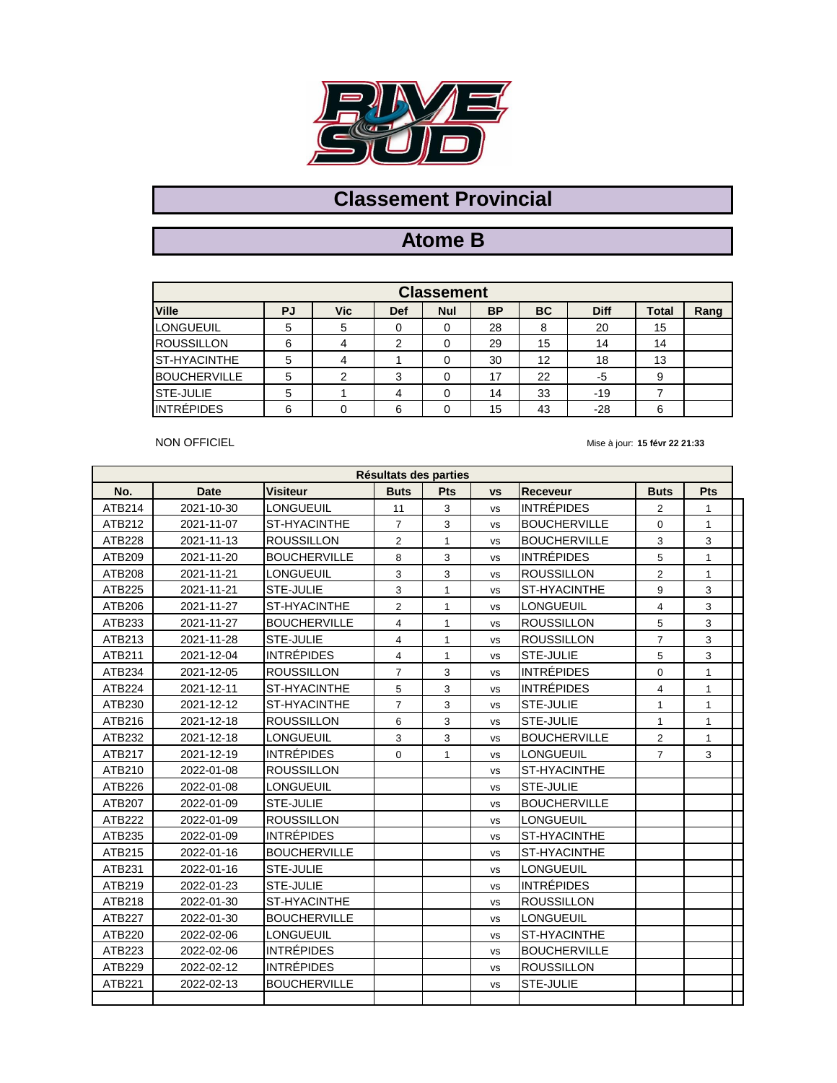

# **Atome B**

| <b>Classement</b>   |    |     |            |            |           |           |             |              |      |  |  |  |
|---------------------|----|-----|------------|------------|-----------|-----------|-------------|--------------|------|--|--|--|
| <b>Ville</b>        | PJ | Vic | <b>Def</b> | <b>Nul</b> | <b>BP</b> | <b>BC</b> | <b>Diff</b> | <b>Total</b> | Rang |  |  |  |
| <b>LONGUEUIL</b>    | 5  | 5   |            |            | 28        | 8         | 20          | 15           |      |  |  |  |
| <b>ROUSSILLON</b>   | 6  | 4   |            |            | 29        | 15        | 14          | 14           |      |  |  |  |
| <b>ST-HYACINTHE</b> | 5  | 4   |            |            | 30        | 12        | 18          | 13           |      |  |  |  |
| <b>BOUCHERVILLE</b> | 5  | っ   | 3          |            | 17        | 22        | -5          | 9            |      |  |  |  |
| STE-JULIE           | 5  |     | 4          |            | 14        | 33        | $-19$       |              |      |  |  |  |
| <b>INTRÉPIDES</b>   | 6  | 0   | 6          |            | 15        | 43        | $-28$       | 6            |      |  |  |  |

NON OFFICIEL

| Résultats des parties |             |                     |                |              |           |                     |                |              |  |  |  |  |
|-----------------------|-------------|---------------------|----------------|--------------|-----------|---------------------|----------------|--------------|--|--|--|--|
| No.                   | <b>Date</b> | <b>Visiteur</b>     | <b>Buts</b>    | Pts          | <b>VS</b> | <b>Receveur</b>     | <b>Buts</b>    | Pts          |  |  |  |  |
| ATB214                | 2021-10-30  | <b>LONGUEUIL</b>    | 11             | 3            | <b>VS</b> | <b>INTRÉPIDES</b>   | 2              | 1            |  |  |  |  |
| ATB212                | 2021-11-07  | <b>ST-HYACINTHE</b> | $\overline{7}$ | 3            | <b>VS</b> | <b>BOUCHERVILLE</b> | 0              | 1            |  |  |  |  |
| ATB228                | 2021-11-13  | <b>ROUSSILLON</b>   | $\overline{2}$ | $\mathbf{1}$ | <b>VS</b> | <b>BOUCHERVILLE</b> | 3              | 3            |  |  |  |  |
| ATB209                | 2021-11-20  | <b>BOUCHERVILLE</b> | 8              | 3            | <b>VS</b> | <b>INTRÉPIDES</b>   | 5              | 1            |  |  |  |  |
| ATB208                | 2021-11-21  | <b>LONGUEUIL</b>    | 3              | 3            | <b>VS</b> | <b>ROUSSILLON</b>   | $\overline{2}$ | 1            |  |  |  |  |
| ATB225                | 2021-11-21  | <b>STE-JULIE</b>    | 3              | $\mathbf{1}$ | <b>VS</b> | <b>ST-HYACINTHE</b> | 9              | 3            |  |  |  |  |
| ATB206                | 2021-11-27  | ST-HYACINTHE        | $\overline{2}$ | $\mathbf{1}$ | <b>VS</b> | <b>LONGUEUIL</b>    | 4              | 3            |  |  |  |  |
| ATB233                | 2021-11-27  | <b>BOUCHERVILLE</b> | $\overline{4}$ | $\mathbf{1}$ | <b>VS</b> | <b>ROUSSILLON</b>   | 5              | 3            |  |  |  |  |
| ATB213                | 2021-11-28  | <b>STE-JULIE</b>    | $\overline{4}$ | $\mathbf{1}$ | <b>VS</b> | <b>ROUSSILLON</b>   | $\overline{7}$ | 3            |  |  |  |  |
| ATB211                | 2021-12-04  | INTRÉPIDES          | $\overline{4}$ | $\mathbf{1}$ | <b>VS</b> | <b>STE-JULIE</b>    | 5              | 3            |  |  |  |  |
| ATB234                | 2021-12-05  | <b>ROUSSILLON</b>   | $\overline{7}$ | 3            | <b>VS</b> | <b>INTRÉPIDES</b>   | 0              | 1            |  |  |  |  |
| ATB224                | 2021-12-11  | ST-HYACINTHE        | 5              | 3            | <b>VS</b> | <b>INTRÉPIDES</b>   | 4              | 1            |  |  |  |  |
| ATB230                | 2021-12-12  | ST-HYACINTHE        | $\overline{7}$ | 3            | <b>VS</b> | <b>ISTE-JULIE</b>   | $\mathbf{1}$   | $\mathbf{1}$ |  |  |  |  |
| ATB216                | 2021-12-18  | <b>ROUSSILLON</b>   | 6              | 3            | <b>VS</b> | <b>STE-JULIE</b>    | $\mathbf{1}$   | $\mathbf{1}$ |  |  |  |  |
| ATB232                | 2021-12-18  | <b>LONGUEUIL</b>    | 3              | 3            | <b>VS</b> | <b>BOUCHERVILLE</b> | $\overline{2}$ | $\mathbf{1}$ |  |  |  |  |
| ATB217                | 2021-12-19  | <b>INTRÉPIDES</b>   | 0              | $\mathbf{1}$ | <b>VS</b> | LONGUEUIL           | $\overline{7}$ | 3            |  |  |  |  |
| ATB210                | 2022-01-08  | <b>ROUSSILLON</b>   |                |              | <b>VS</b> | <b>ST-HYACINTHE</b> |                |              |  |  |  |  |
| ATB226                | 2022-01-08  | <b>LONGUEUIL</b>    |                |              | <b>VS</b> | STE-JULIE           |                |              |  |  |  |  |
| ATB207                | 2022-01-09  | <b>STE-JULIE</b>    |                |              | <b>VS</b> | <b>BOUCHERVILLE</b> |                |              |  |  |  |  |
| ATB222                | 2022-01-09  | <b>ROUSSILLON</b>   |                |              | <b>VS</b> | <b>LONGUEUIL</b>    |                |              |  |  |  |  |
| ATB235                | 2022-01-09  | <b>INTRÉPIDES</b>   |                |              | <b>VS</b> | <b>ST-HYACINTHE</b> |                |              |  |  |  |  |
| ATB215                | 2022-01-16  | <b>BOUCHERVILLE</b> |                |              | <b>VS</b> | <b>ST-HYACINTHE</b> |                |              |  |  |  |  |
| ATB231                | 2022-01-16  | <b>STE-JULIE</b>    |                |              | <b>VS</b> | <b>LONGUEUIL</b>    |                |              |  |  |  |  |
| ATB219                | 2022-01-23  | STE-JULIE           |                |              | <b>VS</b> | <b>INTRÉPIDES</b>   |                |              |  |  |  |  |
| ATB218                | 2022-01-30  | ST-HYACINTHE        |                |              | <b>VS</b> | <b>ROUSSILLON</b>   |                |              |  |  |  |  |
| ATB227                | 2022-01-30  | <b>BOUCHERVILLE</b> |                |              | <b>VS</b> | <b>LONGUEUIL</b>    |                |              |  |  |  |  |
| ATB220                | 2022-02-06  | <b>LONGUEUIL</b>    |                |              | <b>VS</b> | ST-HYACINTHE        |                |              |  |  |  |  |
| ATB223                | 2022-02-06  | <b>INTRÉPIDES</b>   |                |              | <b>VS</b> | <b>BOUCHERVILLE</b> |                |              |  |  |  |  |
| ATB229                | 2022-02-12  | <b>INTRÉPIDES</b>   |                |              | <b>VS</b> | <b>ROUSSILLON</b>   |                |              |  |  |  |  |
| ATB221                | 2022-02-13  | <b>BOUCHERVILLE</b> |                |              | <b>VS</b> | <b>STE-JULIE</b>    |                |              |  |  |  |  |
|                       |             |                     |                |              |           |                     |                |              |  |  |  |  |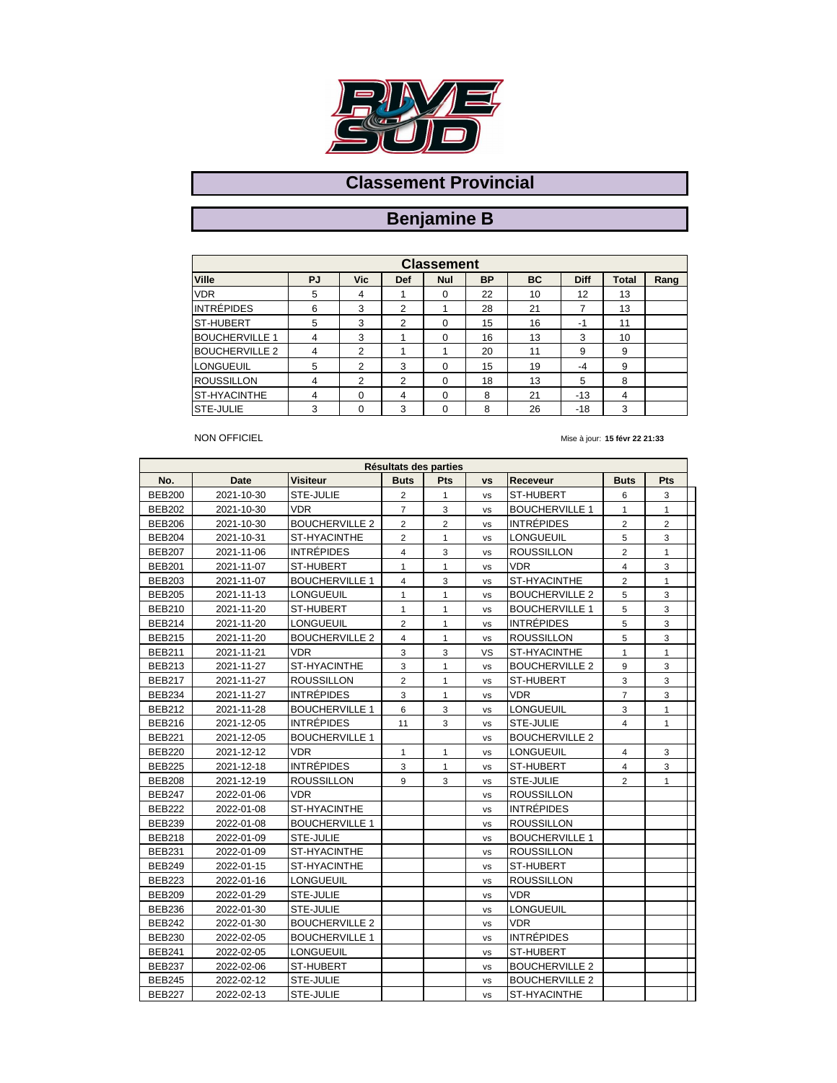

### **Benjamine B**

| <b>Classement</b>     |                |            |     |            |           |    |             |              |      |  |  |  |
|-----------------------|----------------|------------|-----|------------|-----------|----|-------------|--------------|------|--|--|--|
| <b>Ville</b>          | PJ             | <b>Vic</b> | Def | <b>Nul</b> | <b>BP</b> | BC | <b>Diff</b> | <b>Total</b> | Rang |  |  |  |
| <b>VDR</b>            | 5              | 4          |     | $\Omega$   | 22        | 10 | 12          | 13           |      |  |  |  |
| <b>INTRÉPIDES</b>     | 6              | 3          | 2   |            | 28        | 21 |             | 13           |      |  |  |  |
| <b>ST-HUBERT</b>      | 5              | 3          | 2   | $\Omega$   | 15        | 16 | $-1$        | 11           |      |  |  |  |
| <b>BOUCHERVILLE 1</b> | $\overline{4}$ | 3          |     | $\Omega$   | 16        | 13 | 3           | 10           |      |  |  |  |
| <b>BOUCHERVILLE 2</b> | $\overline{4}$ | 2          |     |            | 20        | 11 | 9           | 9            |      |  |  |  |
| <b>LONGUEUIL</b>      | 5              | 2          | 3   | $\Omega$   | 15        | 19 | $-4$        | 9            |      |  |  |  |
| <b>ROUSSILLON</b>     | 4              | 2          | 2   | $\Omega$   | 18        | 13 | 5           | 8            |      |  |  |  |
| <b>ST-HYACINTHE</b>   | 4              | $\Omega$   | 4   | $\Omega$   | 8         | 21 | $-13$       | 4            |      |  |  |  |
| <b>STE-JULIE</b>      | 3              | 0          | 3   | $\Omega$   | 8         | 26 | $-18$       | 3            |      |  |  |  |

#### NON OFFICIEL

| No.           | Date       | Visiteur              | <b>Buts</b>    | <b>Pts</b>     | <b>VS</b> | Receveur              | <b>Buts</b>    | <b>Pts</b>     |  |
|---------------|------------|-----------------------|----------------|----------------|-----------|-----------------------|----------------|----------------|--|
| <b>BEB200</b> | 2021-10-30 | STE-JULIE             | 2              | $\mathbf{1}$   | <b>VS</b> | ST-HUBERT             | 6              | 3              |  |
| <b>BEB202</b> | 2021-10-30 | VDR.                  | $\overline{7}$ | 3              | <b>VS</b> | <b>BOUCHERVILLE 1</b> | $\mathbf{1}$   | $\mathbf{1}$   |  |
| <b>BEB206</b> | 2021-10-30 | <b>BOUCHERVILLE 2</b> | $\overline{2}$ | $\overline{2}$ | <b>VS</b> | <b>INTRÉPIDES</b>     | 2              | $\overline{2}$ |  |
| <b>BEB204</b> | 2021-10-31 | ST-HYACINTHE          | $\overline{2}$ | 1              | <b>VS</b> | LONGUEUIL             | 5              | 3              |  |
| <b>BEB207</b> | 2021-11-06 | <b>INTRÉPIDES</b>     | $\overline{4}$ | 3              | <b>VS</b> | <b>ROUSSILLON</b>     | 2              | $\mathbf{1}$   |  |
| <b>BEB201</b> | 2021-11-07 | ST-HUBERT             | $\mathbf{1}$   | $\mathbf{1}$   | <b>VS</b> | <b>VDR</b>            | $\overline{4}$ | 3              |  |
| <b>BEB203</b> | 2021-11-07 | <b>BOUCHERVILLE 1</b> | $\overline{4}$ | 3              | <b>VS</b> | ST-HYACINTHE          | $\overline{2}$ | $\mathbf{1}$   |  |
| <b>BEB205</b> | 2021-11-13 | <b>LONGUEUIL</b>      | 1              | $\mathbf{1}$   | <b>VS</b> | <b>BOUCHERVILLE 2</b> | 5              | 3              |  |
| <b>BEB210</b> | 2021-11-20 | ST-HUBERT             | $\mathbf{1}$   | $\mathbf{1}$   | <b>VS</b> | <b>BOUCHERVILLE 1</b> | 5              | $\overline{3}$ |  |
| <b>BEB214</b> | 2021-11-20 | <b>LONGUEUIL</b>      | $\overline{2}$ | $\mathbf{1}$   | <b>VS</b> | <b>INTRÉPIDES</b>     | 5              | 3              |  |
| <b>BEB215</b> | 2021-11-20 | <b>BOUCHERVILLE 2</b> | $\overline{4}$ | $\mathbf{1}$   | <b>VS</b> | <b>ROUSSILLON</b>     | 5              | 3              |  |
| <b>BEB211</b> | 2021-11-21 | <b>VDR</b>            | 3              | 3              | VS        | ST-HYACINTHE          | $\mathbf{1}$   | $\mathbf{1}$   |  |
| <b>BEB213</b> | 2021-11-27 | ST-HYACINTHE          | 3              | $\mathbf{1}$   | <b>VS</b> | <b>BOUCHERVILLE 2</b> | 9              | 3              |  |
| <b>BEB217</b> | 2021-11-27 | <b>ROUSSILLON</b>     | $\overline{2}$ | $\mathbf{1}$   | <b>VS</b> | ST-HUBERT             | 3              | 3              |  |
| <b>BEB234</b> | 2021-11-27 | <b>INTRÉPIDES</b>     | 3              | $\mathbf{1}$   | <b>VS</b> | <b>VDR</b>            | $\overline{7}$ | 3              |  |
| <b>BEB212</b> | 2021-11-28 | <b>BOUCHERVILLE 1</b> | 6              | 3              | vs        | <b>LONGUEUIL</b>      | 3              | $\mathbf{1}$   |  |
| <b>BEB216</b> | 2021-12-05 | <b>INTRÉPIDES</b>     | 11             | 3              | vs        | STE-JULIE             | $\overline{4}$ | $\mathbf{1}$   |  |
| <b>BEB221</b> | 2021-12-05 | <b>BOUCHERVILLE 1</b> |                |                | vs        | <b>BOUCHERVILLE 2</b> |                |                |  |
| <b>BEB220</b> | 2021-12-12 | <b>VDR</b>            | $\mathbf{1}$   | $\mathbf{1}$   | <b>VS</b> | <b>LONGUEUIL</b>      | $\overline{4}$ | 3              |  |
| <b>BEB225</b> | 2021-12-18 | <b>INTRÉPIDES</b>     | 3              | 1              | vs        | ST-HUBERT             | $\overline{4}$ | 3              |  |
| <b>BEB208</b> | 2021-12-19 | <b>ROUSSILLON</b>     | 9              | 3              | <b>VS</b> | STE-JULIE             | $\overline{2}$ | $\mathbf{1}$   |  |
| <b>BEB247</b> | 2022-01-06 | <b>VDR</b>            |                |                | <b>VS</b> | ROUSSILLON            |                |                |  |
| <b>BEB222</b> | 2022-01-08 | ST-HYACINTHE          |                |                | <b>VS</b> | <b>INTRÉPIDES</b>     |                |                |  |
| <b>BEB239</b> | 2022-01-08 | <b>BOUCHERVILLE 1</b> |                |                | <b>VS</b> | <b>ROUSSILLON</b>     |                |                |  |
| BEB218        | 2022-01-09 | STE-JULIE             |                |                | <b>VS</b> | <b>BOUCHERVILLE 1</b> |                |                |  |
| <b>BEB231</b> | 2022-01-09 | ST-HYACINTHE          |                |                | <b>VS</b> | <b>ROUSSILLON</b>     |                |                |  |
| <b>BEB249</b> | 2022-01-15 | ST-HYACINTHE          |                |                | <b>VS</b> | ST-HUBERT             |                |                |  |
| <b>BEB223</b> | 2022-01-16 | <b>LONGUEUIL</b>      |                |                | <b>VS</b> | <b>ROUSSILLON</b>     |                |                |  |
| <b>BEB209</b> | 2022-01-29 | STE-JULIE             |                |                | <b>VS</b> | <b>VDR</b>            |                |                |  |
| BEB236        | 2022-01-30 | STE-JULIE             |                |                | <b>VS</b> | LONGUEUIL             |                |                |  |
| <b>BEB242</b> | 2022-01-30 | <b>BOUCHERVILLE 2</b> |                |                | <b>VS</b> | <b>VDR</b>            |                |                |  |
| <b>BEB230</b> | 2022-02-05 | <b>BOUCHERVILLE 1</b> |                |                | <b>VS</b> | <b>INTRÉPIDES</b>     |                |                |  |
| <b>BEB241</b> | 2022-02-05 | <b>LONGUEUIL</b>      |                |                | <b>VS</b> | ST-HUBERT             |                |                |  |
| <b>BEB237</b> | 2022-02-06 | ST-HUBERT             |                |                | <b>VS</b> | <b>BOUCHERVILLE 2</b> |                |                |  |
| <b>BEB245</b> | 2022-02-12 | STE-JULIE             |                |                | <b>VS</b> | <b>BOUCHERVILLE 2</b> |                |                |  |
| <b>BEB227</b> | 2022-02-13 | STE-JULIE             |                |                | <b>VS</b> | ST-HYACINTHE          |                |                |  |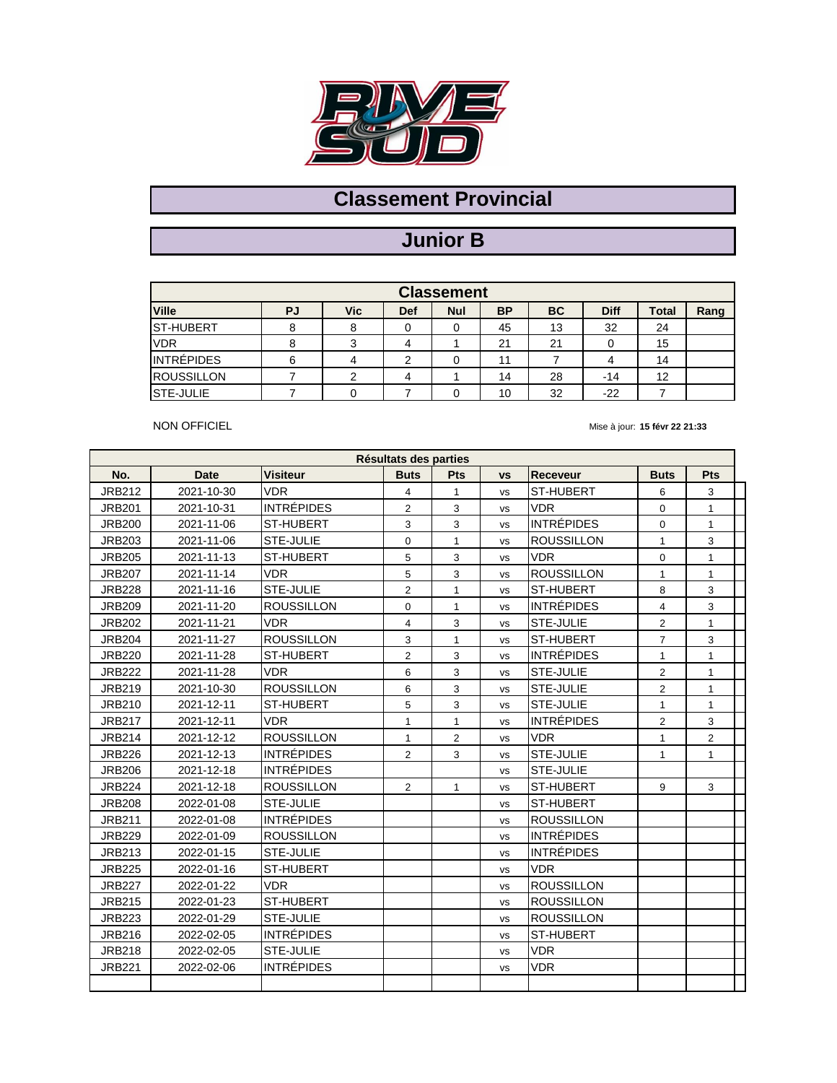

# **Junior B**

| <b>Classement</b> |    |     |     |            |           |    |             |       |      |  |  |  |
|-------------------|----|-----|-----|------------|-----------|----|-------------|-------|------|--|--|--|
| <b>Ville</b>      | PJ | Vic | Def | <b>Nul</b> | <b>BP</b> | BC | <b>Diff</b> | Total | Rang |  |  |  |
| <b>ST-HUBERT</b>  |    | 8   |     |            | 45        | 13 | 32          | 24    |      |  |  |  |
| <b>VDR</b>        |    | 3   |     |            | 21        | 21 |             | 15    |      |  |  |  |
| <b>INTRÉPIDES</b> | 6  |     | ົ   |            | 11        |    |             | 14    |      |  |  |  |
| <b>ROUSSILLON</b> |    | っ   |     |            | 14        | 28 | -14         | 12    |      |  |  |  |
| <b>STE-JULIE</b>  |    |     |     |            | 10        | 32 | $-22$       |       |      |  |  |  |

NON OFFICIEL

| Résultats des parties |             |                   |                |                |           |                   |                |                |  |  |  |
|-----------------------|-------------|-------------------|----------------|----------------|-----------|-------------------|----------------|----------------|--|--|--|
| No.                   | <b>Date</b> | <b>Visiteur</b>   | <b>Buts</b>    | Pts            | <b>VS</b> | <b>Receveur</b>   | <b>Buts</b>    | Pts            |  |  |  |
| <b>JRB212</b>         | 2021-10-30  | <b>VDR</b>        | 4              | 1              | <b>VS</b> | <b>ST-HUBERT</b>  | 6              | 3              |  |  |  |
| <b>JRB201</b>         | 2021-10-31  | <b>INTRÉPIDES</b> | $\overline{2}$ | 3              | <b>VS</b> | <b>VDR</b>        | 0              | $\mathbf{1}$   |  |  |  |
| <b>JRB200</b>         | 2021-11-06  | <b>ST-HUBERT</b>  | 3              | 3              | <b>VS</b> | <b>INTRÉPIDES</b> | 0              | $\mathbf{1}$   |  |  |  |
| <b>JRB203</b>         | 2021-11-06  | <b>STE-JULIE</b>  | $\mathbf 0$    | $\mathbf{1}$   | <b>VS</b> | <b>ROUSSILLON</b> | 1              | 3              |  |  |  |
| <b>JRB205</b>         | 2021-11-13  | ST-HUBERT         | 5              | 3              | <b>VS</b> | <b>VDR</b>        | 0              | 1              |  |  |  |
| <b>JRB207</b>         | 2021-11-14  | <b>VDR</b>        | 5              | 3              | <b>VS</b> | <b>ROUSSILLON</b> | 1              | $\mathbf{1}$   |  |  |  |
| <b>JRB228</b>         | 2021-11-16  | <b>STE-JULIE</b>  | 2              | $\mathbf{1}$   | vs        | <b>ST-HUBERT</b>  | 8              | 3              |  |  |  |
| <b>JRB209</b>         | 2021-11-20  | <b>ROUSSILLON</b> | $\mathbf 0$    | $\mathbf{1}$   | <b>VS</b> | <b>INTRÉPIDES</b> | $\overline{4}$ | 3              |  |  |  |
| <b>JRB202</b>         | 2021-11-21  | <b>VDR</b>        | 4              | 3              | <b>VS</b> | STE-JULIE         | $\overline{2}$ | $\mathbf{1}$   |  |  |  |
| <b>JRB204</b>         | 2021-11-27  | <b>ROUSSILLON</b> | 3              | $\mathbf{1}$   | <b>VS</b> | ST-HUBERT         | $\overline{7}$ | 3              |  |  |  |
| <b>JRB220</b>         | 2021-11-28  | ST-HUBERT         | $\overline{2}$ | 3              | <b>VS</b> | <b>INTRÉPIDES</b> | $\mathbf{1}$   | $\mathbf{1}$   |  |  |  |
| <b>JRB222</b>         | 2021-11-28  | <b>VDR</b>        | 6              | 3              | <b>VS</b> | <b>STE-JULIE</b>  | $\overline{2}$ | $\mathbf{1}$   |  |  |  |
| <b>JRB219</b>         | 2021-10-30  | <b>ROUSSILLON</b> | 6              | 3              | vs        | <b>STE-JULIE</b>  | $\overline{2}$ | 1              |  |  |  |
| <b>JRB210</b>         | 2021-12-11  | <b>ST-HUBERT</b>  | 5              | 3              | <b>VS</b> | <b>STE-JULIE</b>  | $\mathbf{1}$   | $\mathbf{1}$   |  |  |  |
| <b>JRB217</b>         | 2021-12-11  | <b>VDR</b>        | $\mathbf{1}$   | $\mathbf{1}$   | <b>VS</b> | <b>INTRÉPIDES</b> | $\overline{2}$ | 3              |  |  |  |
| <b>JRB214</b>         | 2021-12-12  | <b>ROUSSILLON</b> | $\mathbf{1}$   | $\overline{2}$ | <b>VS</b> | <b>VDR</b>        | $\mathbf{1}$   | $\overline{2}$ |  |  |  |
| <b>JRB226</b>         | 2021-12-13  | <b>INTRÉPIDES</b> | $\overline{2}$ | 3              | <b>VS</b> | <b>STE-JULIE</b>  | 1              | $\mathbf{1}$   |  |  |  |
| <b>JRB206</b>         | 2021-12-18  | <b>INTRÉPIDES</b> |                |                | <b>VS</b> | <b>STE-JULIE</b>  |                |                |  |  |  |
| <b>JRB224</b>         | 2021-12-18  | <b>ROUSSILLON</b> | $\overline{2}$ | $\mathbf{1}$   | <b>VS</b> | ST-HUBERT         | 9              | 3              |  |  |  |
| <b>JRB208</b>         | 2022-01-08  | <b>STE-JULIE</b>  |                |                | <b>VS</b> | ST-HUBERT         |                |                |  |  |  |
| <b>JRB211</b>         | 2022-01-08  | <b>INTRÉPIDES</b> |                |                | <b>VS</b> | <b>ROUSSILLON</b> |                |                |  |  |  |
| <b>JRB229</b>         | 2022-01-09  | <b>ROUSSILLON</b> |                |                | <b>VS</b> | <b>INTRÉPIDES</b> |                |                |  |  |  |
| <b>JRB213</b>         | 2022-01-15  | STE-JULIE         |                |                | <b>VS</b> | <b>INTRÉPIDES</b> |                |                |  |  |  |
| <b>JRB225</b>         | 2022-01-16  | <b>ST-HUBERT</b>  |                |                | <b>VS</b> | <b>VDR</b>        |                |                |  |  |  |
| <b>JRB227</b>         | 2022-01-22  | <b>VDR</b>        |                |                | <b>VS</b> | <b>ROUSSILLON</b> |                |                |  |  |  |
| <b>JRB215</b>         | 2022-01-23  | ST-HUBERT         |                |                | <b>VS</b> | <b>ROUSSILLON</b> |                |                |  |  |  |
| <b>JRB223</b>         | 2022-01-29  | <b>STE-JULIE</b>  |                |                | vs        | <b>ROUSSILLON</b> |                |                |  |  |  |
| <b>JRB216</b>         | 2022-02-05  | <b>INTRÉPIDES</b> |                |                | <b>VS</b> | ST-HUBERT         |                |                |  |  |  |
| <b>JRB218</b>         | 2022-02-05  | <b>STE-JULIE</b>  |                |                | <b>VS</b> | <b>VDR</b>        |                |                |  |  |  |
| <b>JRB221</b>         | 2022-02-06  | <b>INTRÉPIDES</b> |                |                | <b>VS</b> | <b>VDR</b>        |                |                |  |  |  |
|                       |             |                   |                |                |           |                   |                |                |  |  |  |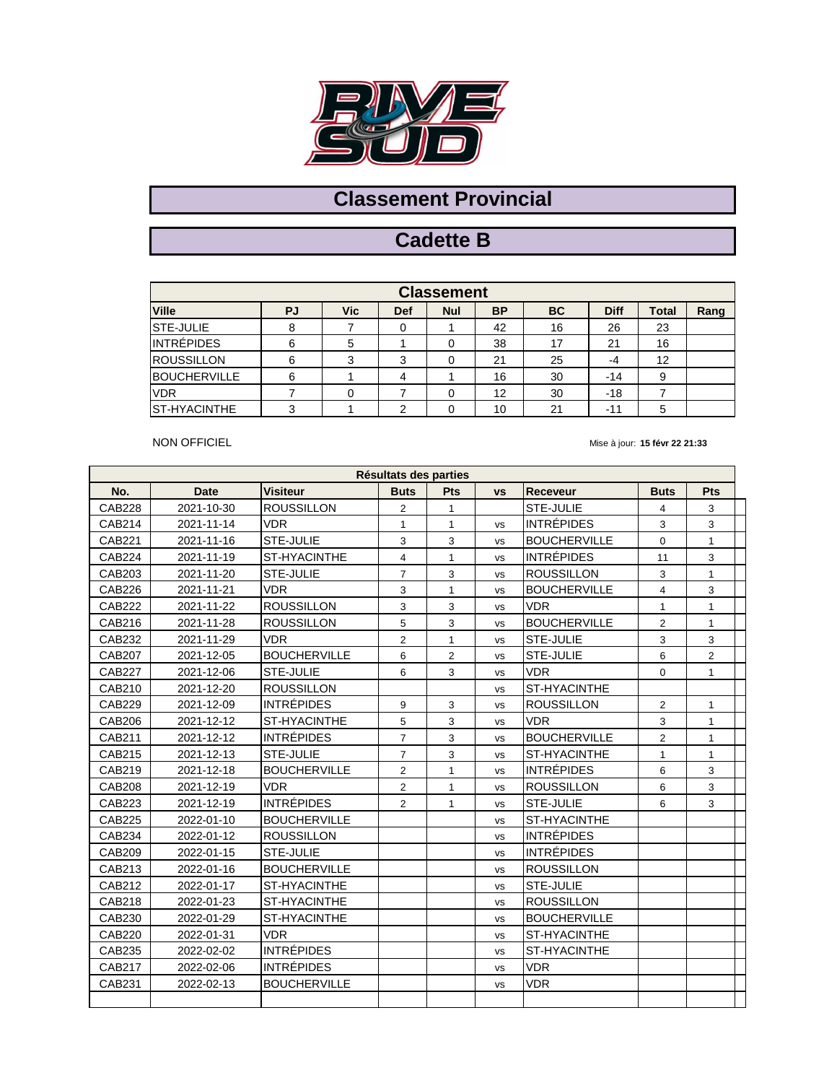

# **Cadette B**

| <b>Classement</b>    |    |            |                |            |           |    |             |              |      |  |  |  |
|----------------------|----|------------|----------------|------------|-----------|----|-------------|--------------|------|--|--|--|
| <b>Ville</b>         | PJ | <b>Vic</b> | Def            | <b>Nul</b> | <b>BP</b> | BC | <b>Diff</b> | <b>Total</b> | Rang |  |  |  |
| <b>STE-JULIE</b>     | 8  |            | 0              |            | 42        | 16 | 26          | 23           |      |  |  |  |
| <b>INTRÉPIDES</b>    | 6  | 5          |                | 0          | 38        | 17 | 21          | 16           |      |  |  |  |
| <b>ROUSSILLON</b>    | 6  | 3          | 3              | 0          | 21        | 25 | -4          | 12           |      |  |  |  |
| <b>BOUCHERVILLE</b>  | 6  |            | 4              |            | 16        | 30 | $-14$       | 9            |      |  |  |  |
| <b>VDR</b>           |    |            |                | 0          | 12        | 30 | $-18$       |              |      |  |  |  |
| <b>IST-HYACINTHE</b> | 3  |            | $\overline{2}$ |            | 10        | 21 | -11         | 5            |      |  |  |  |

NON OFFICIEL

| Résultats des parties |             |                     |                |                |           |                     |                |                |  |  |  |  |
|-----------------------|-------------|---------------------|----------------|----------------|-----------|---------------------|----------------|----------------|--|--|--|--|
| No.                   | <b>Date</b> | <b>Visiteur</b>     | <b>Buts</b>    | Pts            | <b>VS</b> | <b>Receveur</b>     | <b>Buts</b>    | <b>Pts</b>     |  |  |  |  |
| <b>CAB228</b>         | 2021-10-30  | <b>ROUSSILLON</b>   | $\overline{2}$ | $\mathbf{1}$   |           | STE-JULIE           | 4              | 3              |  |  |  |  |
| CAB214                | 2021-11-14  | <b>VDR</b>          | $\mathbf{1}$   | $\mathbf{1}$   | <b>VS</b> | <b>INTRÉPIDES</b>   | 3              | 3              |  |  |  |  |
| CAB221                | 2021-11-16  | <b>STE-JULIE</b>    | 3              | 3              | <b>VS</b> | <b>BOUCHERVILLE</b> | 0              | $\mathbf{1}$   |  |  |  |  |
| <b>CAB224</b>         | 2021-11-19  | ST-HYACINTHE        | $\overline{4}$ | $\mathbf{1}$   | <b>VS</b> | <b>INTRÉPIDES</b>   | 11             | 3              |  |  |  |  |
| CAB203                | 2021-11-20  | <b>STE-JULIE</b>    | $\overline{7}$ | 3              | <b>VS</b> | <b>ROUSSILLON</b>   | 3              | 1              |  |  |  |  |
| <b>CAB226</b>         | 2021-11-21  | <b>VDR</b>          | 3              | $\mathbf{1}$   | <b>VS</b> | <b>BOUCHERVILLE</b> | $\overline{4}$ | 3              |  |  |  |  |
| <b>CAB222</b>         | 2021-11-22  | <b>ROUSSILLON</b>   | 3              | 3              | <b>VS</b> | <b>VDR</b>          | $\mathbf{1}$   | $\mathbf{1}$   |  |  |  |  |
| CAB216                | 2021-11-28  | <b>ROUSSILLON</b>   | 5              | 3              | <b>VS</b> | <b>BOUCHERVILLE</b> | $\overline{2}$ | $\mathbf{1}$   |  |  |  |  |
| CAB232                | 2021-11-29  | <b>VDR</b>          | $\overline{2}$ | $\mathbf{1}$   | <b>VS</b> | STE-JULIE           | 3              | 3              |  |  |  |  |
| <b>CAB207</b>         | 2021-12-05  | <b>BOUCHERVILLE</b> | 6              | $\overline{2}$ | <b>VS</b> | STE-JULIE           | 6              | $\overline{2}$ |  |  |  |  |
| <b>CAB227</b>         | 2021-12-06  | <b>STE-JULIE</b>    | 6              | 3              | <b>VS</b> | <b>VDR</b>          | 0              | $\mathbf{1}$   |  |  |  |  |
| CAB210                | 2021-12-20  | <b>ROUSSILLON</b>   |                |                | <b>VS</b> | ST-HYACINTHE        |                |                |  |  |  |  |
| CAB229                | 2021-12-09  | <b>INTRÉPIDES</b>   | 9              | 3              | <b>VS</b> | <b>ROUSSILLON</b>   | $\overline{c}$ | 1              |  |  |  |  |
| CAB206                | 2021-12-12  | ST-HYACINTHE        | 5              | 3              | <b>VS</b> | <b>VDR</b>          | 3              | $\mathbf{1}$   |  |  |  |  |
| CAB211                | 2021-12-12  | <b>INTRÉPIDES</b>   | $\overline{7}$ | 3              | <b>VS</b> | <b>BOUCHERVILLE</b> | $\overline{2}$ | $\mathbf{1}$   |  |  |  |  |
| CAB215                | 2021-12-13  | <b>STE-JULIE</b>    | $\overline{7}$ | 3              | <b>VS</b> | ST-HYACINTHE        | $\mathbf{1}$   | $\mathbf{1}$   |  |  |  |  |
| CAB219                | 2021-12-18  | <b>BOUCHERVILLE</b> | $\overline{2}$ | $\mathbf{1}$   | <b>VS</b> | <b>INTRÉPIDES</b>   | 6              | 3              |  |  |  |  |
| <b>CAB208</b>         | 2021-12-19  | <b>VDR</b>          | $\overline{2}$ | $\mathbf{1}$   | <b>VS</b> | <b>ROUSSILLON</b>   | 6              | 3              |  |  |  |  |
| CAB223                | 2021-12-19  | <b>INTRÉPIDES</b>   | 2              | $\mathbf{1}$   | <b>VS</b> | STE-JULIE           | 6              | 3              |  |  |  |  |
| <b>CAB225</b>         | 2022-01-10  | <b>BOUCHERVILLE</b> |                |                | <b>VS</b> | ST-HYACINTHE        |                |                |  |  |  |  |
| CAB234                | 2022-01-12  | <b>ROUSSILLON</b>   |                |                | <b>VS</b> | <b>INTRÉPIDES</b>   |                |                |  |  |  |  |
| <b>CAB209</b>         | 2022-01-15  | <b>STE-JULIE</b>    |                |                | <b>VS</b> | <b>INTRÉPIDES</b>   |                |                |  |  |  |  |
| CAB213                | 2022-01-16  | <b>BOUCHERVILLE</b> |                |                | <b>VS</b> | <b>ROUSSILLON</b>   |                |                |  |  |  |  |
| CAB212                | 2022-01-17  | ST-HYACINTHE        |                |                | <b>VS</b> | <b>STE-JULIE</b>    |                |                |  |  |  |  |
| CAB218                | 2022-01-23  | ST-HYACINTHE        |                |                | <b>VS</b> | <b>ROUSSILLON</b>   |                |                |  |  |  |  |
| CAB230                | 2022-01-29  | ST-HYACINTHE        |                |                | <b>VS</b> | <b>BOUCHERVILLE</b> |                |                |  |  |  |  |
| <b>CAB220</b>         | 2022-01-31  | <b>VDR</b>          |                |                | <b>VS</b> | <b>ST-HYACINTHE</b> |                |                |  |  |  |  |
| CAB235                | 2022-02-02  | INTRÉPIDES          |                |                | <b>VS</b> | ST-HYACINTHE        |                |                |  |  |  |  |
| CAB217                | 2022-02-06  | <b>INTRÉPIDES</b>   |                |                | <b>VS</b> | <b>VDR</b>          |                |                |  |  |  |  |
| CAB231                | 2022-02-13  | <b>BOUCHERVILLE</b> |                |                | vs        | <b>VDR</b>          |                |                |  |  |  |  |
|                       |             |                     |                |                |           |                     |                |                |  |  |  |  |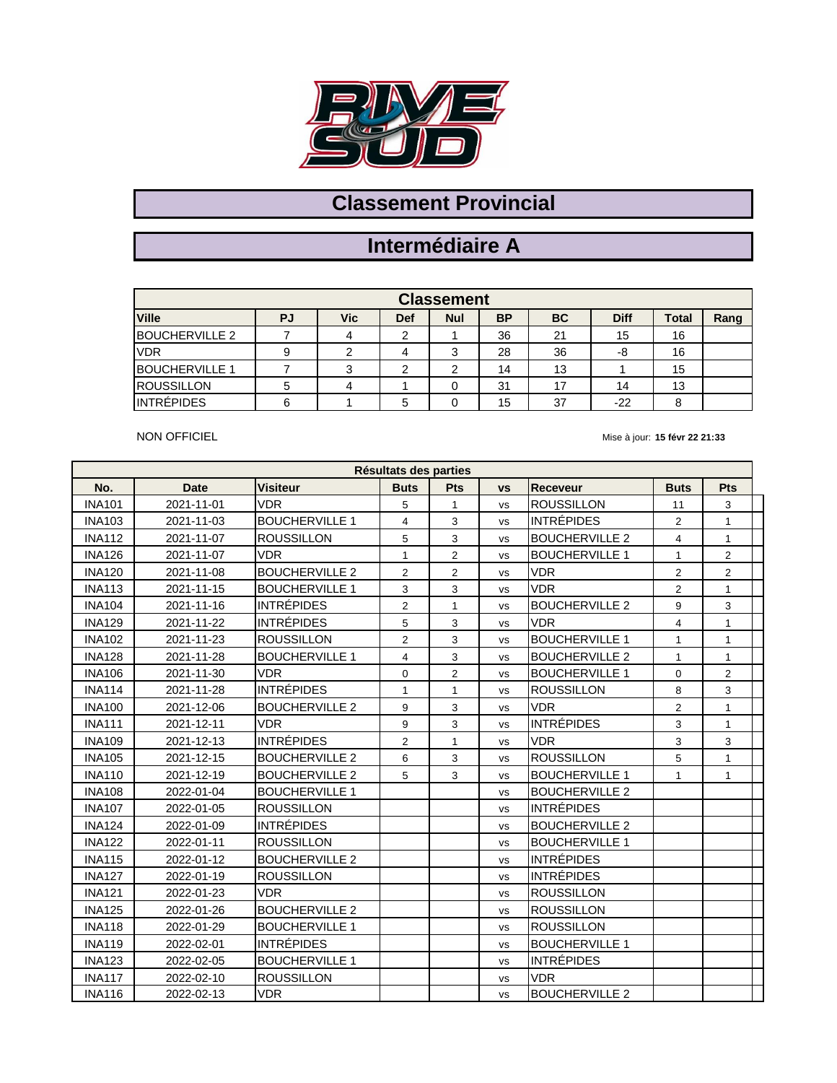

### **Intermédiaire A**

| <b>Classement</b>     |    |     |     |            |           |           |             |       |      |  |  |  |
|-----------------------|----|-----|-----|------------|-----------|-----------|-------------|-------|------|--|--|--|
| <b>Ville</b>          | PJ | Vic | Def | <b>Nul</b> | <b>BP</b> | <b>BC</b> | <b>Diff</b> | Total | Rang |  |  |  |
| <b>BOUCHERVILLE 2</b> |    |     | ◠   |            | 36        | 21        | 15          | 16    |      |  |  |  |
| <b>VDR</b>            |    |     | 4   | າ          | 28        | 36        | -8          | 16    |      |  |  |  |
| <b>BOUCHERVILLE 1</b> |    |     | ◠   | ◠          | 14        | 13        |             | 15    |      |  |  |  |
| <b>ROUSSILLON</b>     |    |     |     |            | 31        | 17        | 14          | 13    |      |  |  |  |
| <b>INTRÉPIDES</b>     | 6  |     | 5   |            | 15        | 37        | $-22$       | 8     |      |  |  |  |

NON OFFICIEL

| Résultats des parties |             |                       |                         |                         |           |                       |                |                |  |  |
|-----------------------|-------------|-----------------------|-------------------------|-------------------------|-----------|-----------------------|----------------|----------------|--|--|
| No.                   | <b>Date</b> | <b>Visiteur</b>       | <b>Buts</b>             | Pts                     | <b>VS</b> | <b>Receveur</b>       | <b>Buts</b>    | <b>Pts</b>     |  |  |
| <b>INA101</b>         | 2021-11-01  | <b>VDR</b>            | 5                       | $\mathbf{1}$            | <b>VS</b> | <b>ROUSSILLON</b>     | 11             | 3              |  |  |
| <b>INA103</b>         | 2021-11-03  | <b>BOUCHERVILLE 1</b> | 4                       | 3                       | <b>VS</b> | <b>INTRÉPIDES</b>     | 2              | $\mathbf{1}$   |  |  |
| <b>INA112</b>         | 2021-11-07  | <b>ROUSSILLON</b>     | 5                       | 3                       | <b>VS</b> | <b>BOUCHERVILLE 2</b> | $\overline{4}$ | $\mathbf{1}$   |  |  |
| <b>INA126</b>         | 2021-11-07  | <b>VDR</b>            | $\mathbf{1}$            | $\overline{2}$          | <b>VS</b> | <b>BOUCHERVILLE 1</b> | $\mathbf{1}$   | $\overline{2}$ |  |  |
| <b>INA120</b>         | 2021-11-08  | <b>BOUCHERVILLE 2</b> | $\overline{\mathbf{c}}$ | $\overline{\mathbf{c}}$ | <b>VS</b> | <b>VDR</b>            | $\overline{2}$ | $\mathbf{2}$   |  |  |
| <b>INA113</b>         | 2021-11-15  | <b>BOUCHERVILLE 1</b> | 3                       | 3                       | <b>VS</b> | <b>VDR</b>            | $\overline{2}$ | $\mathbf{1}$   |  |  |
| <b>INA104</b>         | 2021-11-16  | <b>INTRÉPIDES</b>     | 2                       | $\mathbf{1}$            | <b>VS</b> | <b>BOUCHERVILLE 2</b> | 9              | 3              |  |  |
| <b>INA129</b>         | 2021-11-22  | <b>INTRÉPIDES</b>     | 5                       | 3                       | <b>VS</b> | <b>VDR</b>            | 4              | $\mathbf{1}$   |  |  |
| <b>INA102</b>         | 2021-11-23  | <b>ROUSSILLON</b>     | $\overline{2}$          | 3                       | <b>VS</b> | <b>BOUCHERVILLE 1</b> | $\mathbf{1}$   | $\mathbf{1}$   |  |  |
| <b>INA128</b>         | 2021-11-28  | <b>BOUCHERVILLE 1</b> | $\overline{4}$          | 3                       | <b>VS</b> | <b>BOUCHERVILLE 2</b> | $\mathbf{1}$   | $\mathbf{1}$   |  |  |
| <b>INA106</b>         | 2021-11-30  | <b>VDR</b>            | 0                       | $\overline{2}$          | vs        | <b>BOUCHERVILLE 1</b> | 0              | $\overline{2}$ |  |  |
| <b>INA114</b>         | 2021-11-28  | <b>INTRÉPIDES</b>     | $\mathbf{1}$            | $\mathbf{1}$            | <b>VS</b> | <b>ROUSSILLON</b>     | 8              | 3              |  |  |
| <b>INA100</b>         | 2021-12-06  | <b>BOUCHERVILLE 2</b> | 9                       | 3                       | <b>VS</b> | <b>VDR</b>            | $\overline{2}$ | $\mathbf{1}$   |  |  |
| <b>INA111</b>         | 2021-12-11  | <b>VDR</b>            | 9                       | 3                       | <b>VS</b> | <b>INTRÉPIDES</b>     | 3              | $\mathbf{1}$   |  |  |
| <b>INA109</b>         | 2021-12-13  | <b>INTRÉPIDES</b>     | $\overline{2}$          | $\mathbf{1}$            | <b>VS</b> | <b>VDR</b>            | 3              | 3              |  |  |
| <b>INA105</b>         | 2021-12-15  | <b>BOUCHERVILLE 2</b> | 6                       | 3                       | <b>VS</b> | <b>ROUSSILLON</b>     | 5              | $\mathbf{1}$   |  |  |
| <b>INA110</b>         | 2021-12-19  | <b>BOUCHERVILLE 2</b> | 5                       | 3                       | <b>VS</b> | <b>BOUCHERVILLE 1</b> | $\mathbf{1}$   | $\mathbf{1}$   |  |  |
| <b>INA108</b>         | 2022-01-04  | <b>BOUCHERVILLE 1</b> |                         |                         | <b>VS</b> | <b>BOUCHERVILLE 2</b> |                |                |  |  |
| <b>INA107</b>         | 2022-01-05  | <b>ROUSSILLON</b>     |                         |                         | <b>VS</b> | <b>INTRÉPIDES</b>     |                |                |  |  |
| <b>INA124</b>         | 2022-01-09  | <b>INTRÉPIDES</b>     |                         |                         | <b>VS</b> | <b>BOUCHERVILLE 2</b> |                |                |  |  |
| <b>INA122</b>         | 2022-01-11  | <b>ROUSSILLON</b>     |                         |                         | <b>VS</b> | <b>BOUCHERVILLE 1</b> |                |                |  |  |
| <b>INA115</b>         | 2022-01-12  | <b>BOUCHERVILLE 2</b> |                         |                         | <b>VS</b> | <b>INTRÉPIDES</b>     |                |                |  |  |
| <b>INA127</b>         | 2022-01-19  | <b>ROUSSILLON</b>     |                         |                         | <b>VS</b> | <b>INTRÉPIDES</b>     |                |                |  |  |
| <b>INA121</b>         | 2022-01-23  | <b>VDR</b>            |                         |                         | <b>VS</b> | <b>ROUSSILLON</b>     |                |                |  |  |
| <b>INA125</b>         | 2022-01-26  | <b>BOUCHERVILLE 2</b> |                         |                         | <b>VS</b> | <b>ROUSSILLON</b>     |                |                |  |  |
| <b>INA118</b>         | 2022-01-29  | <b>BOUCHERVILLE 1</b> |                         |                         | <b>VS</b> | <b>ROUSSILLON</b>     |                |                |  |  |
| <b>INA119</b>         | 2022-02-01  | <b>INTRÉPIDES</b>     |                         |                         | <b>VS</b> | <b>BOUCHERVILLE 1</b> |                |                |  |  |
| <b>INA123</b>         | 2022-02-05  | <b>BOUCHERVILLE 1</b> |                         |                         | <b>VS</b> | <b>INTRÉPIDES</b>     |                |                |  |  |
| <b>INA117</b>         | 2022-02-10  | <b>ROUSSILLON</b>     |                         |                         | <b>VS</b> | <b>VDR</b>            |                |                |  |  |
| <b>INA116</b>         | 2022-02-13  | <b>VDR</b>            |                         |                         | <b>VS</b> | <b>BOUCHERVILLE 2</b> |                |                |  |  |